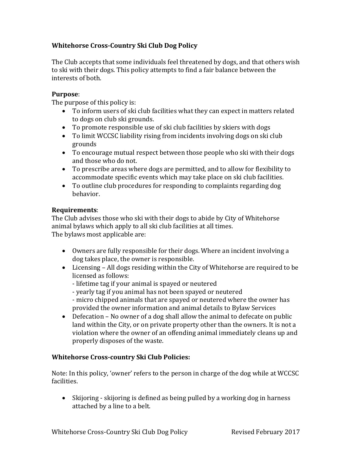# **Whitehorse Cross-Country Ski Club Dog Policy**

The Club accepts that some individuals feel threatened by dogs, and that others wish to ski with their dogs. This policy attempts to find a fair balance between the interests of both.

### **Purpose**:

The purpose of this policy is:

- To inform users of ski club facilities what they can expect in matters related to dogs on club ski grounds.
- To promote responsible use of ski club facilities by skiers with dogs
- To limit WCCSC liability rising from incidents involving dogs on ski club grounds
- To encourage mutual respect between those people who ski with their dogs and those who do not.
- To prescribe areas where dogs are permitted, and to allow for flexibility to accommodate specific events which may take place on ski club facilities.
- To outline club procedures for responding to complaints regarding dog behavior.

#### **Requirements**:

The Club advises those who ski with their dogs to abide by City of Whitehorse animal bylaws which apply to all ski club facilities at all times. The bylaws most applicable are:

- Owners are fully responsible for their dogs. Where an incident involving a dog takes place, the owner is responsible.
- Licensing All dogs residing within the City of Whitehorse are required to be licensed as follows:
	- lifetime tag if your animal is spayed or neutered
	- yearly tag if you animal has not been spayed or neutered
	- micro chipped animals that are spayed or neutered where the owner has provided the owner information and animal details to Bylaw Services
- Defecation No owner of a dog shall allow the animal to defecate on public land within the City, or on private property other than the owners. It is not a violation where the owner of an offending animal immediately cleans up and properly disposes of the waste.

#### **Whitehorse Cross-country Ski Club Policies:**

Note: In this policy, 'owner' refers to the person in charge of the dog while at WCCSC facilities.

 Skijoring - skijoring is defined as being pulled by a working dog in harness attached by a line to a belt.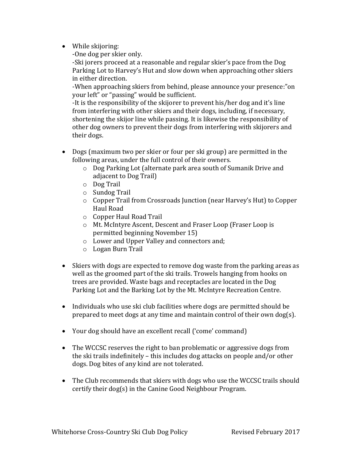- While skijoring:
	- -One dog per skier only.

-Ski jorers proceed at a reasonable and regular skier's pace from the Dog Parking Lot to Harvey's Hut and slow down when approaching other skiers in either direction.

-When approaching skiers from behind, please announce your presence:"on your left" or "passing" would be sufficient.

-It is the responsibility of the skijorer to prevent his/her dog and it's line from interfering with other skiers and their dogs, including, if necessary, shortening the skijor line while passing. It is likewise the responsibility of other dog owners to prevent their dogs from interfering with skijorers and their dogs.

- Dogs (maximum two per skier or four per ski group) are permitted in the following areas, under the full control of their owners.
	- o Dog Parking Lot (alternate park area south of Sumanik Drive and adjacent to Dog Trail)
	- o Dog Trail
	- o Sundog Trail
	- o Copper Trail from Crossroads Junction (near Harvey's Hut) to Copper Haul Road
	- o Copper Haul Road Trail
	- o Mt. McIntyre Ascent, Descent and Fraser Loop (Fraser Loop is permitted beginning November 15)
	- o Lower and Upper Valley and connectors and;
	- o Logan Burn Trail
- Skiers with dogs are expected to remove dog waste from the parking areas as well as the groomed part of the ski trails. Trowels hanging from hooks on trees are provided. Waste bags and receptacles are located in the Dog Parking Lot and the Barking Lot by the Mt. McIntyre Recreation Centre.
- Individuals who use ski club facilities where dogs are permitted should be prepared to meet dogs at any time and maintain control of their own dog(s).
- Your dog should have an excellent recall ('come' command)
- The WCCSC reserves the right to ban problematic or aggressive dogs from the ski trails indefinitely – this includes dog attacks on people and/or other dogs. Dog bites of any kind are not tolerated.
- The Club recommends that skiers with dogs who use the WCCSC trails should certify their dog(s) in the Canine Good Neighbour Program.